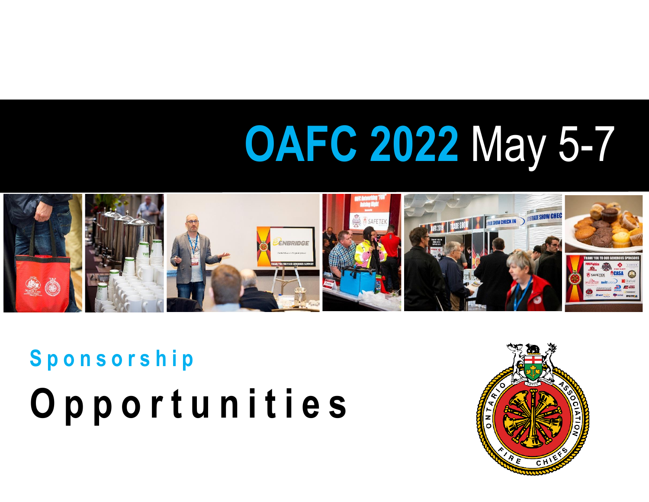# **OAFC 2022** May 5-7



**S p o n s o r s h i p O p p o r t u n i t i e s**

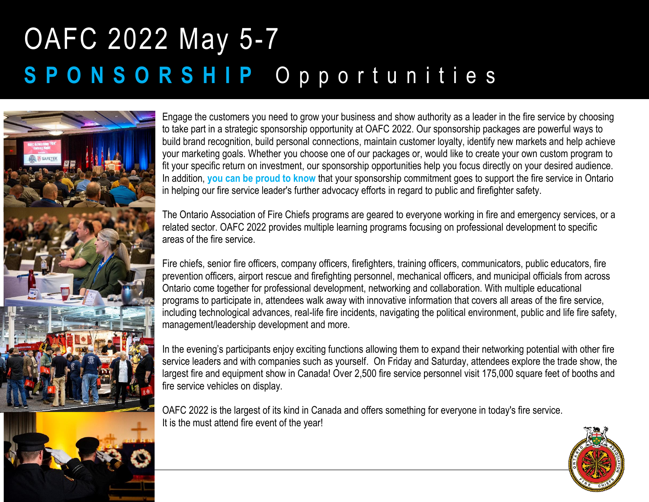

Engage the customers you need to grow your business and show authority as a leader in the fire service by choosing to take part in a strategic sponsorship opportunity at OAFC 2022. Our sponsorship packages are powerful ways to build brand recognition, build personal connections, maintain customer loyalty, identify new markets and help achieve your marketing goals. Whether you choose one of our packages or, would like to create your own custom program to fit your specific return on investment, our sponsorship opportunities help you focus directly on your desired audience. In addition, **you can be proud to know** that your sponsorship commitment goes to support the fire service in Ontario in helping our fire service leader's further advocacy efforts in regard to public and firefighter safety.

The Ontario Association of Fire Chiefs programs are geared to everyone working in fire and emergency services, or a related sector. OAFC 2022 provides multiple learning programs focusing on professional development to specific areas of the fire service.

Fire chiefs, senior fire officers, company officers, firefighters, training officers, communicators, public educators, fire prevention officers, airport rescue and firefighting personnel, mechanical officers, and municipal officials from across Ontario come together for professional development, networking and collaboration. With multiple educational programs to participate in, attendees walk away with innovative information that covers all areas of the fire service, including technological advances, real-life fire incidents, navigating the political environment, public and life fire safety, management/leadership development and more.

In the evening's participants enjoy exciting functions allowing them to expand their networking potential with other fire service leaders and with companies such as yourself. On Friday and Saturday, attendees explore the trade show, the largest fire and equipment show in Canada! Over 2,500 fire service personnel visit 175,000 square feet of booths and fire service vehicles on display.

OAFC 2022 is the largest of its kind in Canada and offers something for everyone in today's fire service. It is the must attend fire event of the year!

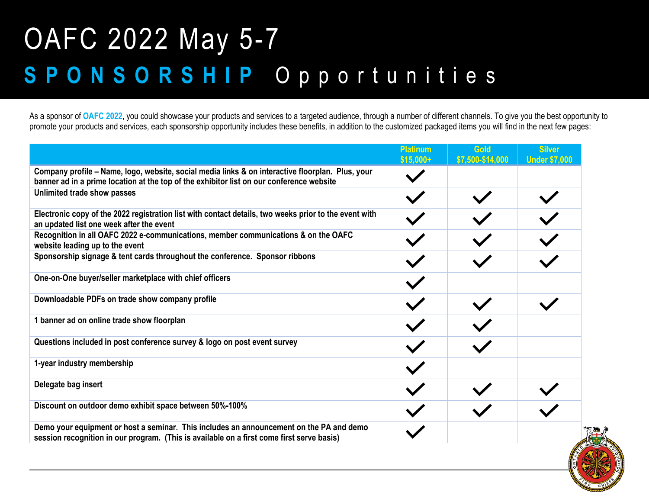As a sponsor of **OAFC 2022**, you could showcase your products and services to a targeted audience, through a number of different channels. To give you the best opportunity to promote your products and services, each sponsorship opportunity includes these benefits, in addition to the customized packaged items you will find in the next few pages:

|                                                                                                                                                                                              | <b>Platinum</b><br>$$15,000+$ | Gold<br>\$7,500-\$14,000 | <b>Silver</b><br><b>Under \$7,000</b> |
|----------------------------------------------------------------------------------------------------------------------------------------------------------------------------------------------|-------------------------------|--------------------------|---------------------------------------|
| Company profile – Name, logo, website, social media links & on interactive floorplan. Plus, your<br>banner ad in a prime location at the top of the exhibitor list on our conference website |                               |                          |                                       |
| Unlimited trade show passes                                                                                                                                                                  |                               |                          |                                       |
| Electronic copy of the 2022 registration list with contact details, two weeks prior to the event with<br>an updated list one week after the event                                            | $\checkmark$                  |                          | $\checkmark$                          |
| Recognition in all OAFC 2022 e-communications, member communications & on the OAFC<br>website leading up to the event                                                                        |                               |                          |                                       |
| Sponsorship signage & tent cards throughout the conference. Sponsor ribbons                                                                                                                  |                               |                          |                                       |
| One-on-One buyer/seller marketplace with chief officers                                                                                                                                      | $\checkmark$                  |                          |                                       |
| Downloadable PDFs on trade show company profile                                                                                                                                              | $\checkmark$                  |                          |                                       |
| 1 banner ad on online trade show floorplan                                                                                                                                                   |                               |                          |                                       |
| Questions included in post conference survey & logo on post event survey                                                                                                                     | $\checkmark$                  |                          |                                       |
| 1-year industry membership                                                                                                                                                                   | $\checkmark$                  |                          |                                       |
| Delegate bag insert                                                                                                                                                                          |                               |                          |                                       |
| Discount on outdoor demo exhibit space between 50%-100%                                                                                                                                      | $\checkmark$                  |                          |                                       |
| Demo your equipment or host a seminar. This includes an announcement on the PA and demo<br>session recognition in our program. (This is available on a first come first serve basis)         |                               |                          |                                       |

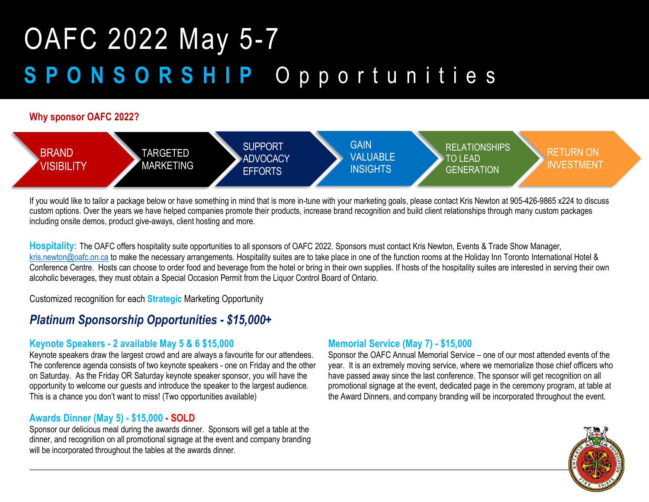#### **Why sponsor OAFC 2022?**



If you would like to tailor a package below or have something in mind that is more in-tune with your marketing goals, please contact Kris Newton at 905-426-9865 x224 to discuss custom options. Over the years we have helped companies promote their products, increase brand recognition and build client relationships through many custom packages including onsite demos, product give-aways, client hosting and more.

Hospitality: The OAFC offers hospitality suite opportunities to all sponsors of OAFC 2022. Sponsors must contact Kris Newton, Events & Trade Show Manager, [kris.newton@oafc.on.ca](mailto:kris.newton@oafc.on.ca) to make the necessary arrangements. Hospitality suites are to take place in one of the function rooms at the Holiday Inn Toronto International Hotel & Conference Centre. Hosts can choose to order food and beverage from the hotel or bring in their own supplies. If hosts of the hospitality suites are interested in serving their own alcoholic beverages, they must obtain a Special Occasion Permit from the Liquor Control Board of Ontario.

Customized recognition for each **Strategic** Marketing Opportunity

#### *Platinum Sponsorship Opportunities - \$15,000+*

#### **Keynote Speakers - 2 available May 5 & 6 \$15,000**

Keynote speakers draw the largest crowd and are always a favourite for our attendees. The conference agenda consists of two keynote speakers - one on Friday and the other on Saturday. As the Friday OR Saturday keynote speaker sponsor, you will have the opportunity to welcome our guests and introduce the speaker to the largest audience. This is a chance you don't want to miss! (Two opportunities available)

#### **Awards Dinner (May 5) - \$15,000 - SOLD**

Sponsor our delicious meal during the awards dinner. Sponsors will get a table at the dinner, and recognition on all promotional signage at the event and company branding will be incorporated throughout the tables at the awards dinner.

#### **Memorial Service (May 7) - \$15,000**

Sponsor the OAFC Annual Memorial Service – one of our most attended events of the year. It is an extremely moving service, where we memorialize those chief officers who have passed away since the last conference. The sponsor will get recognition on all promotional signage at the event, dedicated page in the ceremony program, at table at the Award Dinners, and company branding will be incorporated throughout the event.

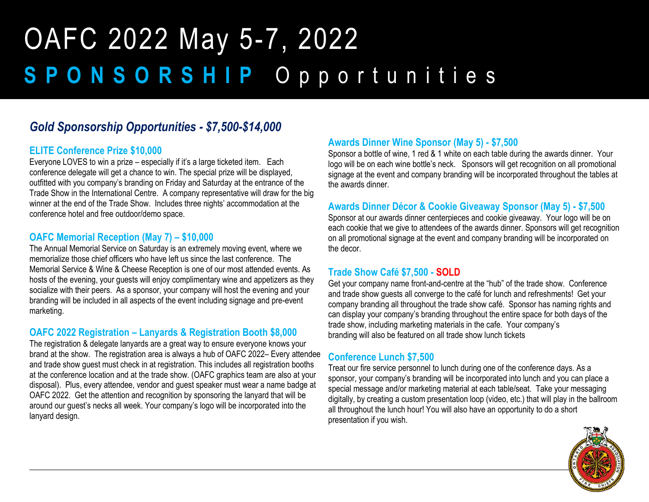#### *Gold Sponsorship Opportunities - \$7,500-\$14,000*

#### **ELITE Conference Prize \$10,000**

Everyone LOVES to win a prize – especially if it's a large ticketed item. Each conference delegate will get a chance to win. The special prize will be displayed, outfitted with you company's branding on Friday and Saturday at the entrance of the Trade Show in the International Centre. A company representative will draw for the big winner at the end of the Trade Show. Includes three nights' accommodation at the conference hotel and free outdoor/demo space.

#### **OAFC Memorial Reception (May 7) – \$10,000**

The Annual Memorial Service on Saturday is an extremely moving event, where we memorialize those chief officers who have left us since the last conference. The Memorial Service & Wine & Cheese Reception is one of our most attended events. As hosts of the evening, your guests will enjoy complimentary wine and appetizers as they socialize with their peers. As a sponsor, your company will host the evening and your branding will be included in all aspects of the event including signage and pre-event marketing.

#### **OAFC 2022 Registration – Lanyards & Registration Booth \$8,000**

The registration & delegate lanyards are a great way to ensure everyone knows your brand at the show. The registration area is always a hub of OAFC 2022– Every attendee and trade show guest must check in at registration. This includes all registration booths at the conference location and at the trade show. (OAFC graphics team are also at your disposal). Plus, every attendee, vendor and guest speaker must wear a name badge at OAFC 2022. Get the attention and recognition by sponsoring the lanyard that will be around our guest's necks all week. Your company's logo will be incorporated into the lanyard design.

#### **Awards Dinner Wine Sponsor (May 5) - \$7,500**

Sponsor a bottle of wine, 1 red & 1 white on each table during the awards dinner. Your logo will be on each wine bottle's neck. Sponsors will get recognition on all promotional signage at the event and company branding will be incorporated throughout the tables at the awards dinner.

#### **Awards Dinner Décor & Cookie Giveaway Sponsor (May 5) - \$7,500**

Sponsor at our awards dinner centerpieces and cookie giveaway. Your logo will be on each cookie that we give to attendees of the awards dinner. Sponsors will get recognition on all promotional signage at the event and company branding will be incorporated on the decor.

#### **Trade Show Café \$7,500 - SOLD**

Get your company name front-and-centre at the "hub" of the trade show. Conference and trade show guests all converge to the café for lunch and refreshments! Get your company branding all throughout the trade show café. Sponsor has naming rights and can display your company's branding throughout the entire space for both days of the trade show, including marketing materials in the cafe. Your company's branding will also be featured on all trade show lunch tickets

#### **Conference Lunch \$7,500**

Treat our fire service personnel to lunch during one of the conference days. As a sponsor, your company's branding will be incorporated into lunch and you can place a special message and/or marketing material at each table/seat. Take your messaging digitally, by creating a custom presentation loop (video, etc.) that will play in the ballroom all throughout the lunch hour! You will also have an opportunity to do a short presentation if you wish.

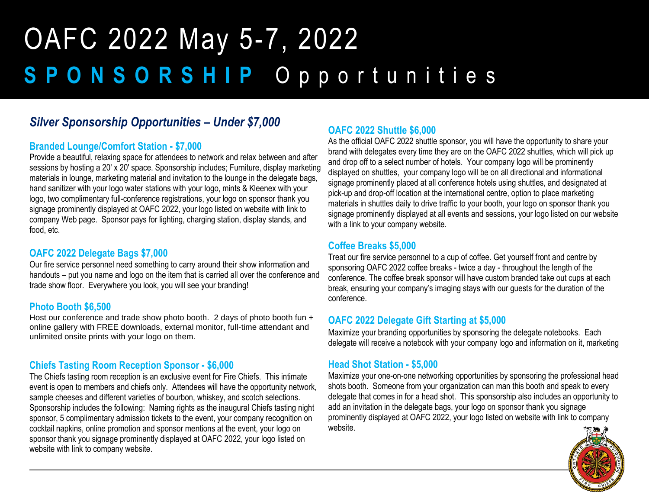#### *Silver Sponsorship Opportunities – Under \$7,000*

#### **Branded Lounge/Comfort Station - \$7,000**

Provide a beautiful, relaxing space for attendees to network and relax between and after sessions by hosting a 20′ x 20′ space. Sponsorship includes; Furniture, display marketing materials in lounge, marketing material and invitation to the lounge in the delegate bags, hand sanitizer with your logo water stations with your logo, mints & Kleenex with your logo, two complimentary full-conference registrations, your logo on sponsor thank you signage prominently displayed at OAFC 2022, your logo listed on website with link to company Web page. Sponsor pays for lighting, charging station, display stands, and food, etc.

#### **OAFC 2022 Delegate Bags \$7,000**

Our fire service personnel need something to carry around their show information and handouts – put you name and logo on the item that is carried all over the conference and trade show floor. Everywhere you look, you will see your branding!

#### **Photo Booth \$6,500**

Host our conference and trade show photo booth. 2 days of photo booth fun + online gallery with FREE downloads, external monitor, full-time attendant and unlimited onsite prints with your logo on them.

#### **Chiefs Tasting Room Reception Sponsor - \$6,000**

The Chiefs tasting room reception is an exclusive event for Fire Chiefs. This intimate event is open to members and chiefs only. Attendees will have the opportunity network, sample cheeses and different varieties of bourbon, whiskey, and scotch selections. Sponsorship includes the following: Naming rights as the inaugural Chiefs tasting night sponsor, 5 complimentary admission tickets to the event, your company recognition on cocktail napkins, online promotion and sponsor mentions at the event, your logo on sponsor thank you signage prominently displayed at OAFC 2022, your logo listed on website with link to company website.

#### **OAFC 2022 Shuttle \$6,000**

As the official OAFC 2022 shuttle sponsor, you will have the opportunity to share your brand with delegates every time they are on the OAFC 2022 shuttles, which will pick up and drop off to a select number of hotels. Your company logo will be prominently displayed on shuttles, your company logo will be on all directional and informational signage prominently placed at all conference hotels using shuttles, and designated at pick-up and drop-off location at the international centre, option to place marketing materials in shuttles daily to drive traffic to your booth, your logo on sponsor thank you signage prominently displayed at all events and sessions, your logo listed on our website with a link to your company website.

#### **Coffee Breaks \$5,000**

Treat our fire service personnel to a cup of coffee. Get yourself front and centre by sponsoring OAFC 2022 coffee breaks - twice a day - throughout the length of the conference. The coffee break sponsor will have custom branded take out cups at each break, ensuring your company's imaging stays with our guests for the duration of the conference.

#### **OAFC 2022 Delegate Gift Starting at \$5,000**

Maximize your branding opportunities by sponsoring the delegate notebooks. Each delegate will receive a notebook with your company logo and information on it, marketing

#### **Head Shot Station - \$5,000**

Maximize your one-on-one networking opportunities by sponsoring the professional head shots booth. Someone from your organization can man this booth and speak to every delegate that comes in for a head shot. This sponsorship also includes an opportunity to add an invitation in the delegate bags, your logo on sponsor thank you signage prominently displayed at OAFC 2022, your logo listed on website with link to company website.

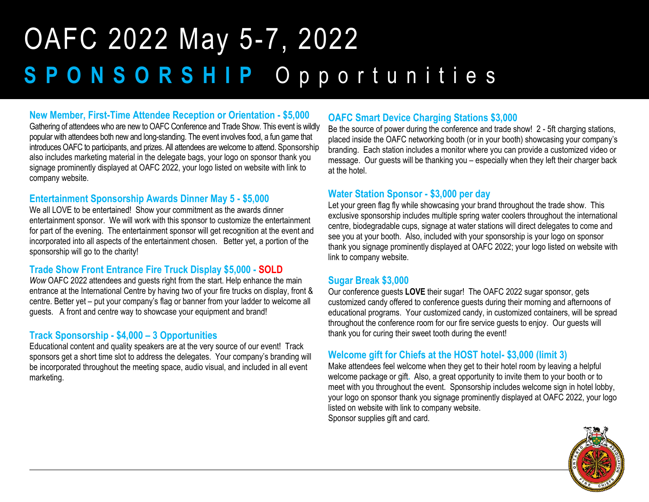#### **New Member, First-Time Attendee Reception or Orientation - \$5,000**

Gathering of attendees who are new to OAFC Conference and Trade Show. This event is wildly popular with attendees both new and long-standing. The event involves food, a fun game that introduces OAFC to participants, and prizes. All attendees are welcome to attend. Sponsorship also includes marketing material in the delegate bags, your logo on sponsor thank you signage prominently displayed at OAFC 2022, your logo listed on website with link to company website.

#### **Entertainment Sponsorship Awards Dinner May 5 - \$5,000**

We all LOVE to be entertained! Show your commitment as the awards dinner entertainment sponsor. We will work with this sponsor to customize the entertainment for part of the evening. The entertainment sponsor will get recognition at the event and incorporated into all aspects of the entertainment chosen. Better yet, a portion of the sponsorship will go to the charity!

#### **Trade Show Front Entrance Fire Truck Display \$5,000 - SOLD**

*Wow* OAFC 2022 attendees and guests right from the start. Help enhance the main entrance at the International Centre by having two of your fire trucks on display, front & centre. Better yet – put your company's flag or banner from your ladder to welcome all guests. A front and centre way to showcase your equipment and brand!

#### **Track Sponsorship - \$4,000 – 3 Opportunities**

Educational content and quality speakers are at the very source of our event! Track sponsors get a short time slot to address the delegates. Your company's branding will be incorporated throughout the meeting space, audio visual, and included in all event marketing.

#### **OAFC Smart Device Charging Stations \$3,000**

Be the source of power during the conference and trade show! 2 - 5ft charging stations, placed inside the OAFC networking booth (or in your booth) showcasing your company's branding. Each station includes a monitor where you can provide a customized video or message. Our guests will be thanking you – especially when they left their charger back at the hotel.

#### **Water Station Sponsor - \$3,000 per day**

Let your green flag fly while showcasing your brand throughout the trade show. This exclusive sponsorship includes multiple spring water coolers throughout the international centre, biodegradable cups, signage at water stations will direct delegates to come and see you at your booth. Also, included with your sponsorship is your logo on sponsor thank you signage prominently displayed at OAFC 2022; your logo listed on website with link to company website.

#### **Sugar Break \$3,000**

Our conference guests **LOVE** their sugar! The OAFC 2022 sugar sponsor, gets customized candy offered to conference guests during their morning and afternoons of educational programs. Your customized candy, in customized containers, will be spread throughout the conference room for our fire service guests to enjoy. Our guests will thank you for curing their sweet tooth during the event!

#### **Welcome gift for Chiefs at the HOST hotel- \$3,000 (limit 3)**

Make attendees feel welcome when they get to their hotel room by leaving a helpful welcome package or gift**.** Also, a great opportunity to invite them to your booth or to meet with you throughout the event. Sponsorship includes welcome sign in hotel lobby, your logo on sponsor thank you signage prominently displayed at OAFC 2022, your logo listed on website with link to company website. Sponsor supplies gift and card.

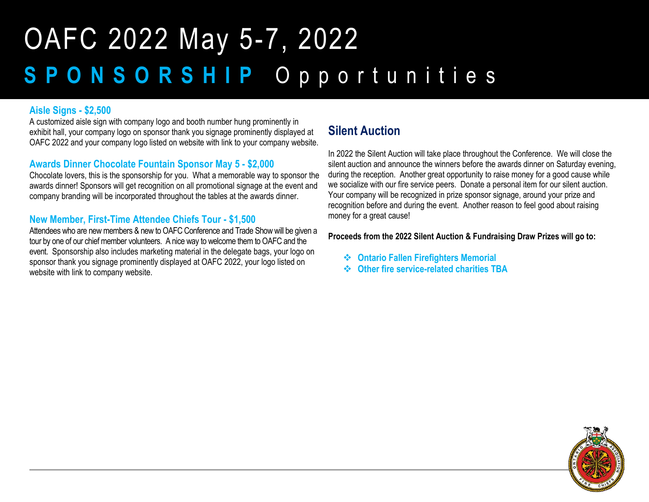#### **Aisle Signs - \$2,500**

A customized aisle sign with company logo and booth number hung prominently in exhibit hall, your company logo on sponsor thank you signage prominently displayed at OAFC 2022 and your company logo listed on website with link to your company website.

#### **Awards Dinner Chocolate Fountain Sponsor May 5 - \$2,000**

Chocolate lovers, this is the sponsorship for you. What a memorable way to sponsor the awards dinner! Sponsors will get recognition on all promotional signage at the event and company branding will be incorporated throughout the tables at the awards dinner.

#### **New Member, First-Time Attendee Chiefs Tour - \$1,500**

Attendees who are new members & new to OAFC Conference and Trade Show will be given a tour by one of our chief member volunteers. A nice way to welcome them to OAFC and the event.Sponsorship also includes marketing material in the delegate bags, your logo on sponsor thank you signage prominently displayed at OAFC 2022, your logo listed on website with link to company website.

#### **Silent Auction**

In 2022 the Silent Auction will take place throughout the Conference. We will close the silent auction and announce the winners before the awards dinner on Saturday evening, during the reception. Another great opportunity to raise money for a good cause while we socialize with our fire service peers. Donate a personal item for our silent auction. Your company will be recognized in prize sponsor signage, around your prize and recognition before and during the event. Another reason to feel good about raising money for a great cause!

#### **Proceeds from the 2022 Silent Auction & Fundraising Draw Prizes will go to:**

- ❖ **Ontario Fallen Firefighters Memorial**
- ❖ **Other fire service-related charities TBA**